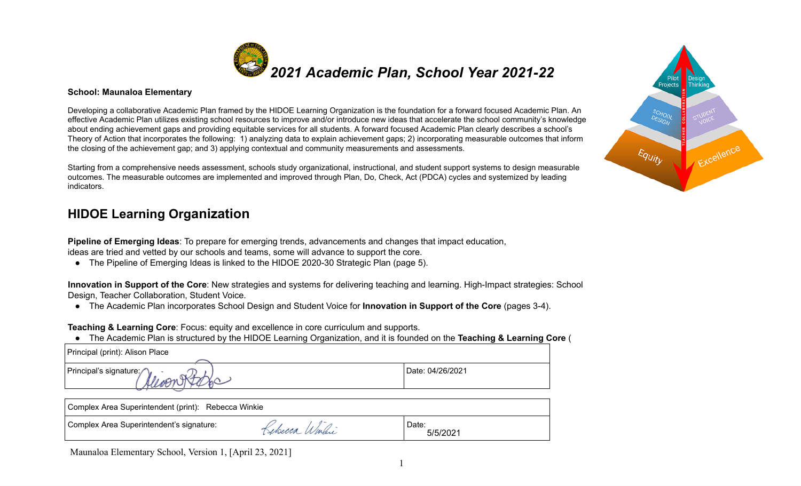

#### **School: Maunaloa Elementary**

Developing a collaborative Academic Plan framed by the HIDOE Learning Organization is the foundation for a forward focused Academic Plan. An effective Academic Plan utilizes existing school resources to improve and/or introduce new ideas that accelerate the school community's knowledge about ending achievement gaps and providing equitable services for all students. A forward focused Academic Plan clearly describes a school's Theory of Action that incorporates the following: 1) analyzing data to explain achievement gaps; 2) incorporating measurable outcomes that inform the closing of the achievement gap; and 3) applying contextual and community measurements and assessments.

Starting from a comprehensive needs assessment, schools study organizational, instructional, and student support system outcomes. The measurable outcomes are implemented and improved through Plan, Do, Check, Act (PDCA) cycles and sys indicators.

### **HIDOE Learning Organization**

**Pipeline of Emerging Ideas**: To prepare for emerging trends, advancements and changes that impact education, ideas are tried and vetted by our schools and teams, some will advance to support the core.

● The Pipeline of Emerging Ideas is linked to the HIDOE 2020-30 Strategic Plan (page 5).

 **Innovation in Support of the Core** : New strategies and systems for delivering teaching and learning. High-Impact strategies: School Design, Teacher Collaboration, Student Voice.

● The Academic Plan incorporates School Design and Student Voice for **Innovation in Support of the Core** (pages 3-4).

**Teaching & Learning Core** : Focus: equity and excellence in core curriculum and supports.

● The Academic Plan is structured by the HIDOE Learning Organization, and it is founded on the **Teaching & Learning Core** (

| Principal (print): Alison Place |  |
|---------------------------------|--|
|---------------------------------|--|

Principal's signature:  $\bigcap_{n=1}^{\infty}$   $\bigcap_{n=1}^{\infty}$  | Date: 04/26/2021

| Complex Area Superintendent (print): Rebecca Winkie |                |                   |  |  |  |  |  |
|-----------------------------------------------------|----------------|-------------------|--|--|--|--|--|
| Complex Area Superintendent's signature:            | Kebecca Winhie | Date:<br>5/5/2021 |  |  |  |  |  |

| ns to design measurable<br>stemized by leading | Equity |
|------------------------------------------------|--------|
| on.                                            |        |

SCHOC<br>DESIGN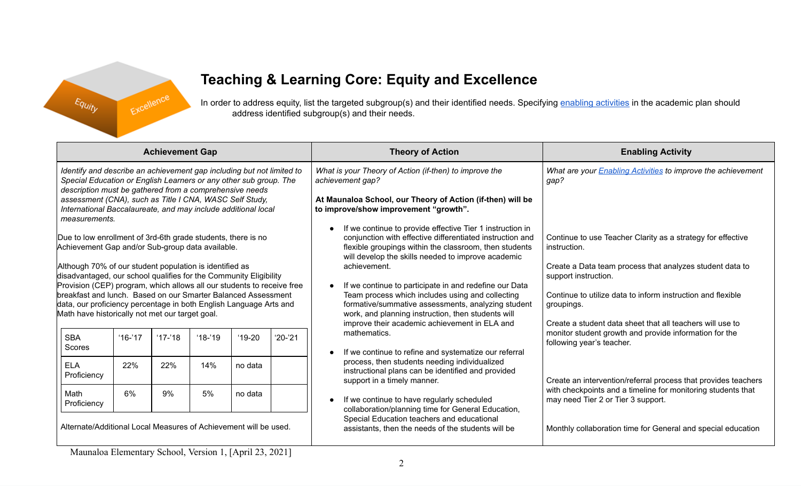

# **Teaching & Learning Core: Equity and Excellence**

In order to address equity, list the targeted subgroup(s) and their identified needs. Specifying enabling [activities](https://docs.google.com/document/d/1_CBCCCUPTqpr2sEeh1fQ9EUVupyhBBZlYUdzcm9zCw0/edit) in the academic plan should address identified subgroup(s) and their needs.

| <b>Achievement Gap</b>                                                                                                                                                                                                                                                                                                                                                                                             |                                                  |           |                                                                                                                              |                                                                          |                                                                                                                                                                                                               | <b>Theory of Action</b>                                                                                                                                                                                                                                                                                     | <b>Enabling Activity</b>                                                                                                            |
|--------------------------------------------------------------------------------------------------------------------------------------------------------------------------------------------------------------------------------------------------------------------------------------------------------------------------------------------------------------------------------------------------------------------|--------------------------------------------------|-----------|------------------------------------------------------------------------------------------------------------------------------|--------------------------------------------------------------------------|---------------------------------------------------------------------------------------------------------------------------------------------------------------------------------------------------------------|-------------------------------------------------------------------------------------------------------------------------------------------------------------------------------------------------------------------------------------------------------------------------------------------------------------|-------------------------------------------------------------------------------------------------------------------------------------|
| Identify and describe an achievement gap including but not limited to<br>Special Education or English Learners or any other sub group. The<br>description must be gathered from a comprehensive needs<br>assessment (CNA), such as Title I CNA, WASC Self Study,<br>International Baccalaureate, and may include additional local<br>measurements.<br>Due to low enrollment of 3rd-6th grade students, there is no |                                                  |           |                                                                                                                              |                                                                          |                                                                                                                                                                                                               | What is your Theory of Action (if-then) to improve the<br>achievement gap?<br>At Maunaloa School, our Theory of Action (if-then) will be<br>to improve/show improvement "growth".<br>If we continue to provide effective Tier 1 instruction in<br>conjunction with effective differentiated instruction and | What are your Enabling Activities to improve the achievement<br>gap?<br>Continue to use Teacher Clarity as a strategy for effective |
|                                                                                                                                                                                                                                                                                                                                                                                                                    | Achievement Gap and/or Sub-group data available. |           | flexible groupings within the classroom, then students<br>will develop the skills needed to improve academic<br>achievement. | instruction.<br>Create a Data team process that analyzes student data to |                                                                                                                                                                                                               |                                                                                                                                                                                                                                                                                                             |                                                                                                                                     |
| Although 70% of our student population is identified as<br>disadvantaged, our school qualifies for the Community Eligibility<br>Provision (CEP) program, which allows all our students to receive free<br>breakfast and lunch. Based on our Smarter Balanced Assessment<br>data, our proficiency percentage in both English Language Arts and<br>Math have historically not met our target goal.                   |                                                  |           |                                                                                                                              |                                                                          | If we continue to participate in and redefine our Data                                                                                                                                                        | support instruction.                                                                                                                                                                                                                                                                                        |                                                                                                                                     |
|                                                                                                                                                                                                                                                                                                                                                                                                                    |                                                  |           |                                                                                                                              |                                                                          | Team process which includes using and collecting<br>formative/summative assessments, analyzing student<br>work, and planning instruction, then students will<br>improve their academic achievement in ELA and | Continue to utilize data to inform instruction and flexible<br>groupings.<br>Create a student data sheet that all teachers will use to                                                                                                                                                                      |                                                                                                                                     |
| <b>SBA</b><br>Scores                                                                                                                                                                                                                                                                                                                                                                                               | $16 - 17$                                        | $17 - 18$ | $18 - 19$                                                                                                                    | $19-20$                                                                  | $'20-'21$                                                                                                                                                                                                     | mathematics.<br>If we continue to refine and systematize our referral                                                                                                                                                                                                                                       | monitor student growth and provide information for the<br>following year's teacher.                                                 |
| <b>ELA</b><br>Proficiency                                                                                                                                                                                                                                                                                                                                                                                          | 22%                                              | 22%       | 14%                                                                                                                          | no data                                                                  |                                                                                                                                                                                                               | process, then students needing individualized<br>instructional plans can be identified and provided<br>support in a timely manner.                                                                                                                                                                          | Create an intervention/referral process that provides teachers                                                                      |
| Math<br>Proficiency                                                                                                                                                                                                                                                                                                                                                                                                | 6%                                               | 9%        | 5%                                                                                                                           | no data                                                                  |                                                                                                                                                                                                               | If we continue to have regularly scheduled<br>collaboration/planning time for General Education,                                                                                                                                                                                                            | with checkpoints and a timeline for monitoring students that<br>may need Tier 2 or Tier 3 support.                                  |
| Alternate/Additional Local Measures of Achievement will be used.                                                                                                                                                                                                                                                                                                                                                   |                                                  |           |                                                                                                                              |                                                                          |                                                                                                                                                                                                               | Special Education teachers and educational<br>assistants, then the needs of the students will be                                                                                                                                                                                                            | Monthly collaboration time for General and special education                                                                        |
| Maunaloa Elementary School Version 1 [April 23, 2021]                                                                                                                                                                                                                                                                                                                                                              |                                                  |           |                                                                                                                              |                                                                          |                                                                                                                                                                                                               |                                                                                                                                                                                                                                                                                                             |                                                                                                                                     |

Maunaloa Elementary School, Version 1,  $[{\rm Apm}\,23, 2021]$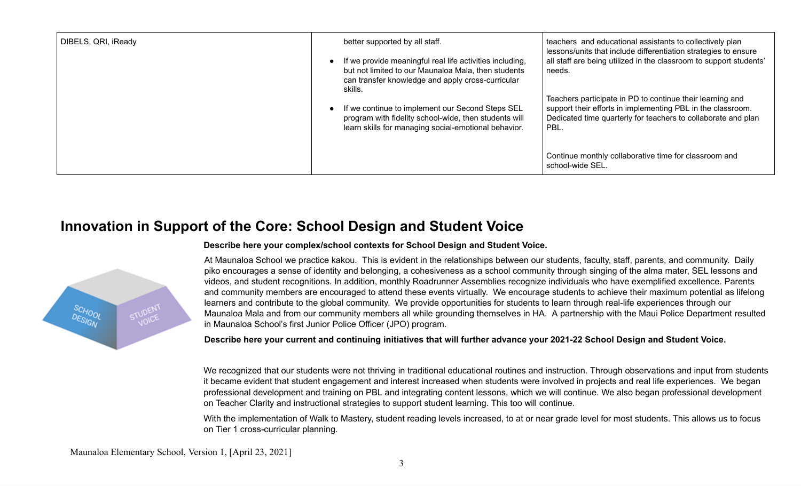| DIBELS, QRI, iReady | better supported by all staff.<br>If we provide meaningful real life activities including,<br>but not limited to our Maunaloa Mala, then students<br>can transfer knowledge and apply cross-curricular<br>skills.<br>If we continue to implement our Second Steps SEL<br>program with fidelity school-wide, then students will<br>learn skills for managing social-emotional behavior. | teachers and educational assistants to collectively plan<br>lessons/units that include differentiation strategies to ensure<br>all staff are being utilized in the classroom to support students'<br>needs.<br>Teachers participate in PD to continue their learning and<br>support their efforts in implementing PBL in the classroom.<br>Dedicated time quarterly for teachers to collaborate and plan<br>PBL. |
|---------------------|----------------------------------------------------------------------------------------------------------------------------------------------------------------------------------------------------------------------------------------------------------------------------------------------------------------------------------------------------------------------------------------|------------------------------------------------------------------------------------------------------------------------------------------------------------------------------------------------------------------------------------------------------------------------------------------------------------------------------------------------------------------------------------------------------------------|
|                     |                                                                                                                                                                                                                                                                                                                                                                                        | Continue monthly collaborative time for classroom and<br>school-wide SEL.                                                                                                                                                                                                                                                                                                                                        |

### **Innovation in Support of the Core: School Design and Student Voice**



#### **Describe here your complex/school contexts for School Design and Student Voice.**

At Maunaloa School we practice kakou. This is evident in the relationships between our students, faculty, staff, parents, and community. Daily piko encourages a sense of identity and belonging, a cohesiveness as a school community through singing of the alma mater, SEL lessons and videos, and student recognitions. In addition, monthly Roadrunner Assemblies recognize individuals who have exemplified excellence. Parents and community members are encouraged to attend these events virtually. We encourage students to achieve their maximum potential as lifelong learners and contribute to the global community. We provide opportunities for students to learn through real-life experiences through our Maunaloa Mala and from our community members all while grounding themselves in HA. A partnership with the Maui Police Department resulted in Maunaloa School's first Junior Police Officer (JPO) program.

#### Describe here your current and continuing initiatives that will further advance your 2021-22 School Design and Student Voice.

We recognized that our students were not thriving in traditional educational routines and instruction. Through observations and input from students it became evident that student engagement and interest increased when students were involved in projects and real life experiences. We began professional development and training on PBL and integrating content lessons, which we will continue. We also began professional development on Teacher Clarity and instructional strategies to support student learning. This too will continue.

With the implementation of Walk to Mastery, student reading levels increased, to at or near grade level for most students. This allows us to focus on Tier 1 cross-curricular planning.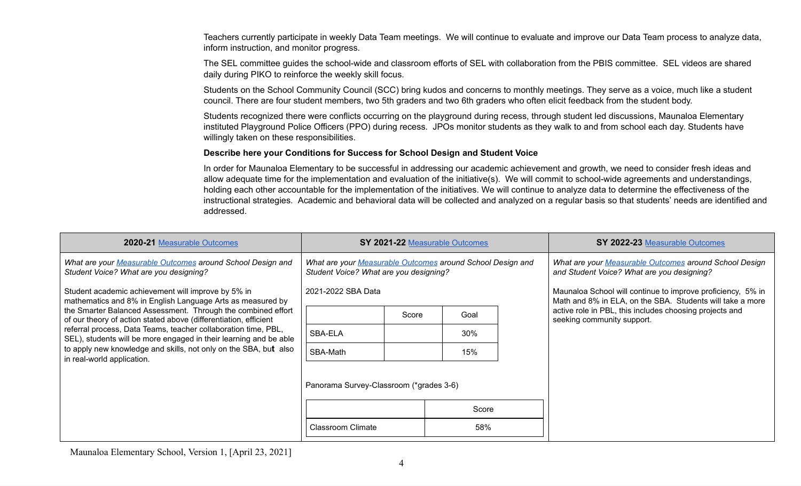Teachers currently participate in weekly Data Team meetings. We will continue to evaluate and improve our Data Team process to analyze data, inform instruction, and monitor progress.

The SEL committee guides the school-wide and classroom efforts of SEL with collaboration from the PBIS committee. SEL videos are shared daily during PIKO to reinforce the weekly skill focus.

Students on the School Community Council (SCC) bring kudos and concerns to monthly meetings. They serve as a voice, much like a student council. There are four student members, two 5th graders and two 6th graders who often elicit feedback from the student body.

Students recognized there were conflicts occurring on the playground during recess, through student led discussions, Maunaloa Elementary instituted Playground Police Officers (PPO) during recess. JPOs monitor students as they walk to and from school each day. Students have willingly taken on these responsibilities.

#### **Describe here your Conditions for Success for School Design and Student Voice**

In order for Maunaloa Elementary to be successful in addressing our academic achievement and growth, we need to consider fresh ideas and allow adequate time for the implementation and evaluation of the initiative(s). We will commit to school-wide agreements and understandings, holding each other accountable for the implementation of the initiatives. We will continue to analyze data to determine the effectiveness of the instructional strategies. Academic and behavioral data will be collected and analyzed on a regular basis so that students' needs are identified and addressed.

| 2020-21 Measurable Outcomes                                                                                                                                                                                                                                             | SY 2021-22 Measurable Outcomes                                                                       |       |       |                                                                                                      | SY 2022-23 Measurable Outcomes                                                                                           |
|-------------------------------------------------------------------------------------------------------------------------------------------------------------------------------------------------------------------------------------------------------------------------|------------------------------------------------------------------------------------------------------|-------|-------|------------------------------------------------------------------------------------------------------|--------------------------------------------------------------------------------------------------------------------------|
| What are your Measurable Outcomes around School Design and<br>Student Voice? What are you designing?                                                                                                                                                                    | What are your Measurable Outcomes around School Design and<br>Student Voice? What are you designing? |       |       | What are your Measurable Outcomes around School Design<br>and Student Voice? What are you designing? |                                                                                                                          |
| Student academic achievement will improve by 5% in<br>mathematics and 8% in English Language Arts as measured by                                                                                                                                                        | 2021-2022 SBA Data                                                                                   |       |       |                                                                                                      | Maunaloa School will continue to improve proficiency, 5% in<br>Math and 8% in ELA, on the SBA. Students will take a more |
| the Smarter Balanced Assessment. Through the combined effort<br>of our theory of action stated above (differentiation, efficient<br>referral process, Data Teams, teacher collaboration time, PBL,<br>SEL), students will be more engaged in their learning and be able |                                                                                                      | Score | Goal  |                                                                                                      | active role in PBL, this includes choosing projects and<br>seeking community support.                                    |
|                                                                                                                                                                                                                                                                         | SBA-ELA                                                                                              |       | 30%   |                                                                                                      |                                                                                                                          |
| to apply new knowledge and skills, not only on the SBA, but also<br>in real-world application.                                                                                                                                                                          | SBA-Math                                                                                             |       | 15%   |                                                                                                      |                                                                                                                          |
|                                                                                                                                                                                                                                                                         | Panorama Survey-Classroom (*grades 3-6)                                                              |       |       |                                                                                                      |                                                                                                                          |
|                                                                                                                                                                                                                                                                         |                                                                                                      |       | Score |                                                                                                      |                                                                                                                          |
|                                                                                                                                                                                                                                                                         | <b>Classroom Climate</b>                                                                             |       | 58%   |                                                                                                      |                                                                                                                          |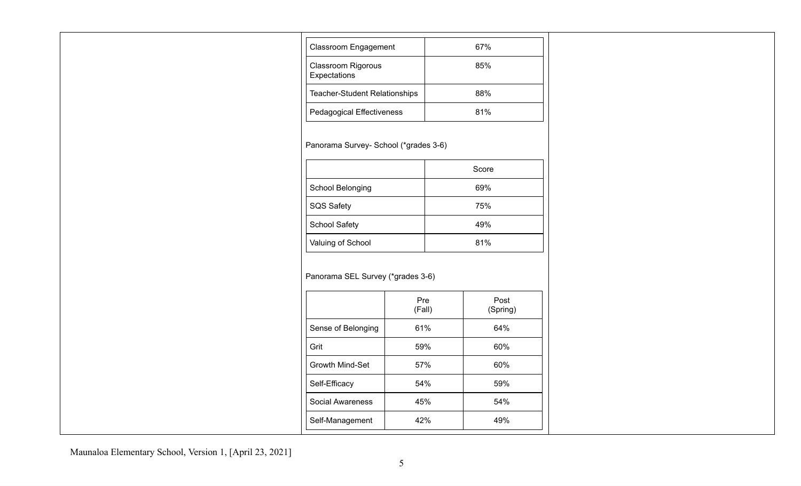| <b>Classroom Engagement</b>               | 67% |
|-------------------------------------------|-----|
| <b>Classroom Rigorous</b><br>Expectations | 85% |
| <b>Teacher-Student Relationships</b>      | 88% |
| <b>Pedagogical Effectiveness</b>          | 81% |

Panorama Survey- School (\*grades 3-6)

|                      | Score |
|----------------------|-------|
| School Belonging     | 69%   |
| <b>SQS Safety</b>    | 75%   |
| <b>School Safety</b> | 49%   |
| Valuing of School    | 81%   |

### Panorama SEL Survey (\*grades 3-6)

|                         | Pre<br>(Fall) | Post<br>(Spring) |
|-------------------------|---------------|------------------|
| Sense of Belonging      | 61%           | 64%              |
| Grit                    | 59%           | 60%              |
| <b>Growth Mind-Set</b>  | 57%           | 60%              |
| Self-Efficacy           | 54%           | 59%              |
| <b>Social Awareness</b> | 45%           | 54%              |
| Self-Management         | 42%           | 49%              |

Maunaloa Elementary School, Version 1, [April 23, 2021]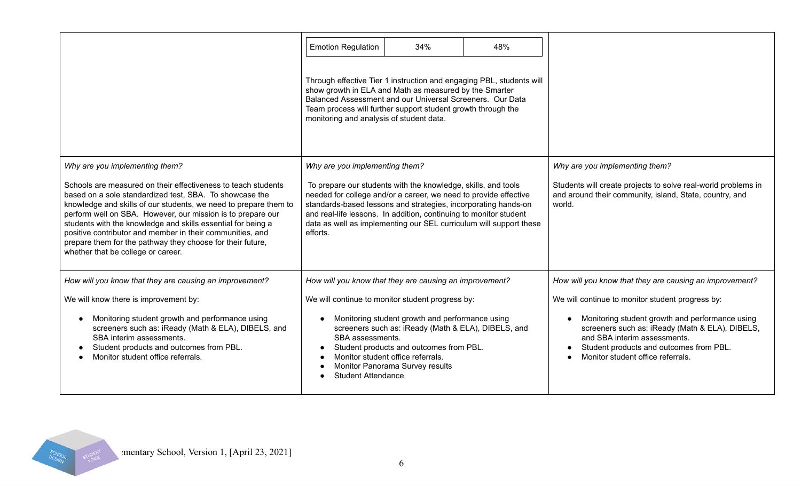|                                                                                                                                                                                                                                                                                                                                                                                                                                                                                              | <b>Emotion Regulation</b>                                                                                                                                                                                                                                                                                                                                  | 34%                                                                                                                                | 48%                                                                  |                                                                                                                                                                                                                                                                        |
|----------------------------------------------------------------------------------------------------------------------------------------------------------------------------------------------------------------------------------------------------------------------------------------------------------------------------------------------------------------------------------------------------------------------------------------------------------------------------------------------|------------------------------------------------------------------------------------------------------------------------------------------------------------------------------------------------------------------------------------------------------------------------------------------------------------------------------------------------------------|------------------------------------------------------------------------------------------------------------------------------------|----------------------------------------------------------------------|------------------------------------------------------------------------------------------------------------------------------------------------------------------------------------------------------------------------------------------------------------------------|
|                                                                                                                                                                                                                                                                                                                                                                                                                                                                                              | show growth in ELA and Math as measured by the Smarter<br>Team process will further support student growth through the<br>monitoring and analysis of student data.                                                                                                                                                                                         | Balanced Assessment and our Universal Screeners. Our Data                                                                          | Through effective Tier 1 instruction and engaging PBL, students will |                                                                                                                                                                                                                                                                        |
| Why are you implementing them?                                                                                                                                                                                                                                                                                                                                                                                                                                                               | Why are you implementing them?                                                                                                                                                                                                                                                                                                                             |                                                                                                                                    |                                                                      | Why are you implementing them?                                                                                                                                                                                                                                         |
| Schools are measured on their effectiveness to teach students<br>based on a sole standardized test, SBA. To showcase the<br>knowledge and skills of our students, we need to prepare them to<br>perform well on SBA. However, our mission is to prepare our<br>students with the knowledge and skills essential for being a<br>positive contributor and member in their communities, and<br>prepare them for the pathway they choose for their future,<br>whether that be college or career. | To prepare our students with the knowledge, skills, and tools<br>needed for college and/or a career, we need to provide effective<br>standards-based lessons and strategies, incorporating hands-on<br>and real-life lessons. In addition, continuing to monitor student<br>data as well as implementing our SEL curriculum will support these<br>efforts. | Students will create projects to solve real-world problems in<br>and around their community, island, State, country, and<br>world. |                                                                      |                                                                                                                                                                                                                                                                        |
| How will you know that they are causing an improvement?                                                                                                                                                                                                                                                                                                                                                                                                                                      | How will you know that they are causing an improvement?                                                                                                                                                                                                                                                                                                    |                                                                                                                                    |                                                                      | How will you know that they are causing an improvement?                                                                                                                                                                                                                |
| We will know there is improvement by:<br>Monitoring student growth and performance using<br>screeners such as: iReady (Math & ELA), DIBELS, and<br>SBA interim assessments.<br>Student products and outcomes from PBL.<br>Monitor student office referrals.                                                                                                                                                                                                                                  | We will continue to monitor student progress by:<br>Monitoring student growth and performance using<br>screeners such as: iReady (Math & ELA), DIBELS, and<br>SBA assessments.<br>Student products and outcomes from PBL.<br>Monitor student office referrals.<br>Monitor Panorama Survey results<br><b>Student Attendance</b>                             |                                                                                                                                    |                                                                      | We will continue to monitor student progress by:<br>Monitoring student growth and performance using<br>screeners such as: iReady (Math & ELA), DIBELS,<br>and SBA interim assessments.<br>Student products and outcomes from PBL.<br>Monitor student office referrals. |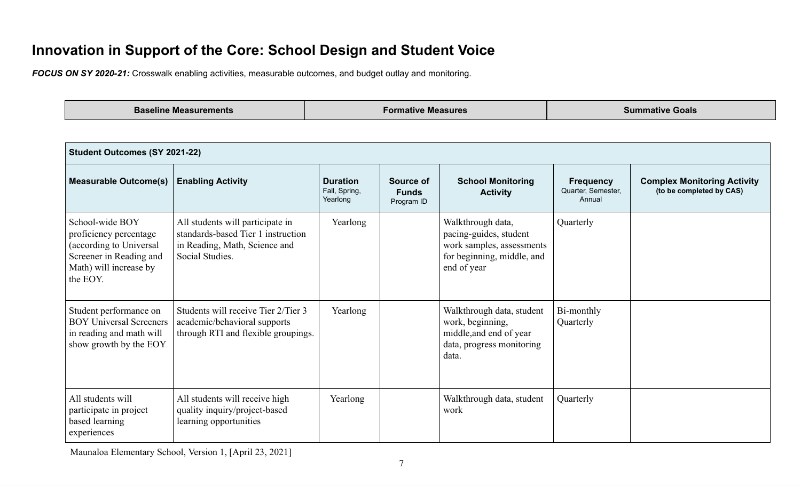## **Innovation in Support of the Core: School Design and Student Voice**

*FOCUS ON SY 2020-21:* Crosswalk enabling activities, measurable outcomes, and budget outlay and monitoring.

**Baseline Measurements Formative Measures Summative Goals**

| <b>Student Outcomes (SY 2021-22)</b>                                                                                                  |                                                                                                                            |          |                                         |                                                                                                                       |                                                  |                                                                |  |  |  |
|---------------------------------------------------------------------------------------------------------------------------------------|----------------------------------------------------------------------------------------------------------------------------|----------|-----------------------------------------|-----------------------------------------------------------------------------------------------------------------------|--------------------------------------------------|----------------------------------------------------------------|--|--|--|
| <b>Measurable Outcome(s)</b>                                                                                                          | <b>Enabling Activity</b>                                                                                                   |          | Source of<br><b>Funds</b><br>Program ID | <b>School Monitoring</b><br><b>Activity</b>                                                                           | <b>Frequency</b><br>Quarter, Semester,<br>Annual | <b>Complex Monitoring Activity</b><br>(to be completed by CAS) |  |  |  |
| School-wide BOY<br>proficiency percentage<br>(according to Universal<br>Screener in Reading and<br>Math) will increase by<br>the EOY. | All students will participate in<br>standards-based Tier 1 instruction<br>in Reading, Math, Science and<br>Social Studies. | Yearlong |                                         | Walkthrough data,<br>pacing-guides, student<br>work samples, assessments<br>for beginning, middle, and<br>end of year | Quarterly                                        |                                                                |  |  |  |
| Student performance on<br><b>BOY Universal Screeners</b><br>in reading and math will<br>show growth by the EOY                        | Students will receive Tier 2/Tier 3<br>academic/behavioral supports<br>through RTI and flexible groupings.                 | Yearlong |                                         | Walkthrough data, student<br>work, beginning,<br>middle, and end of year<br>data, progress monitoring<br>data.        | Bi-monthly<br>Quarterly                          |                                                                |  |  |  |
| All students will<br>participate in project<br>based learning<br>experiences                                                          | All students will receive high<br>quality inquiry/project-based<br>learning opportunities                                  | Yearlong |                                         | Walkthrough data, student<br>work                                                                                     | Quarterly                                        |                                                                |  |  |  |

Maunaloa Elementary School, Version 1, [April 23, 2021]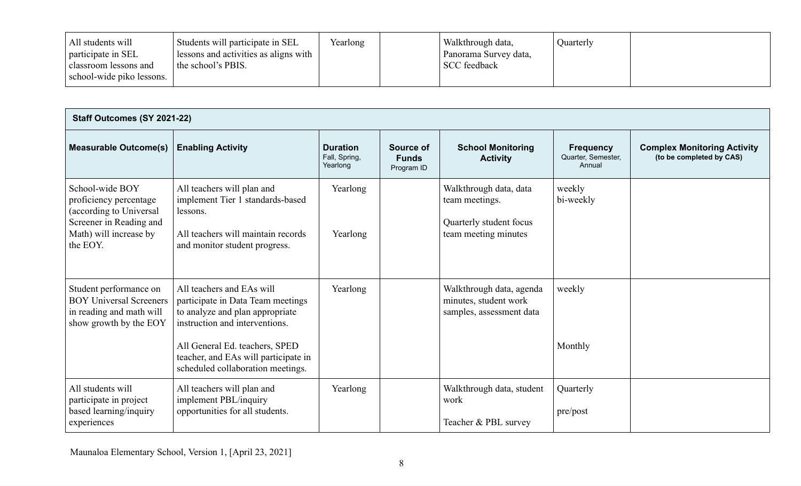| Students will participate in SEL<br>All students will<br>participate in SEL<br>I lessons and activities as aligns with<br>the school's PBIS.<br>classroom lessons and<br>school-wide piko lessons. | Yearlong |  | Walkthrough data,<br>Panorama Survey data,<br><b>SCC</b> feedback | Quarterly |  |
|----------------------------------------------------------------------------------------------------------------------------------------------------------------------------------------------------|----------|--|-------------------------------------------------------------------|-----------|--|
|----------------------------------------------------------------------------------------------------------------------------------------------------------------------------------------------------|----------|--|-------------------------------------------------------------------|-----------|--|

| Staff Outcomes (SY 2021-22)                                                                                                           |                                                                                                                                                                                                                                                    |                                              |                                         |                                                                                             |                                                  |                                                                |  |
|---------------------------------------------------------------------------------------------------------------------------------------|----------------------------------------------------------------------------------------------------------------------------------------------------------------------------------------------------------------------------------------------------|----------------------------------------------|-----------------------------------------|---------------------------------------------------------------------------------------------|--------------------------------------------------|----------------------------------------------------------------|--|
| <b>Measurable Outcome(s)</b>                                                                                                          | <b>Enabling Activity</b>                                                                                                                                                                                                                           | <b>Duration</b><br>Fall, Spring,<br>Yearlong | Source of<br><b>Funds</b><br>Program ID | <b>School Monitoring</b><br><b>Activity</b>                                                 | <b>Frequency</b><br>Quarter, Semester,<br>Annual | <b>Complex Monitoring Activity</b><br>(to be completed by CAS) |  |
| School-wide BOY<br>proficiency percentage<br>(according to Universal<br>Screener in Reading and<br>Math) will increase by<br>the EOY. | All teachers will plan and<br>implement Tier 1 standards-based<br>lessons.<br>All teachers will maintain records<br>and monitor student progress.                                                                                                  | Yearlong<br>Yearlong                         |                                         | Walkthrough data, data<br>team meetings.<br>Quarterly student focus<br>team meeting minutes | weekly<br>bi-weekly                              |                                                                |  |
| Student performance on<br><b>BOY Universal Screeners</b><br>in reading and math will<br>show growth by the EOY                        | All teachers and EAs will<br>participate in Data Team meetings<br>to analyze and plan appropriate<br>instruction and interventions.<br>All General Ed. teachers, SPED<br>teacher, and EAs will participate in<br>scheduled collaboration meetings. | Yearlong                                     |                                         | Walkthrough data, agenda<br>minutes, student work<br>samples, assessment data               | weekly<br>Monthly                                |                                                                |  |
| All students will<br>participate in project<br>based learning/inquiry<br>experiences                                                  | All teachers will plan and<br>implement PBL/inquiry<br>opportunities for all students.                                                                                                                                                             | Yearlong                                     |                                         | Walkthrough data, student<br>work<br>Teacher & PBL survey                                   | Quarterly<br>pre/post                            |                                                                |  |

Maunaloa Elementary School, Version 1, [April 23, 2021]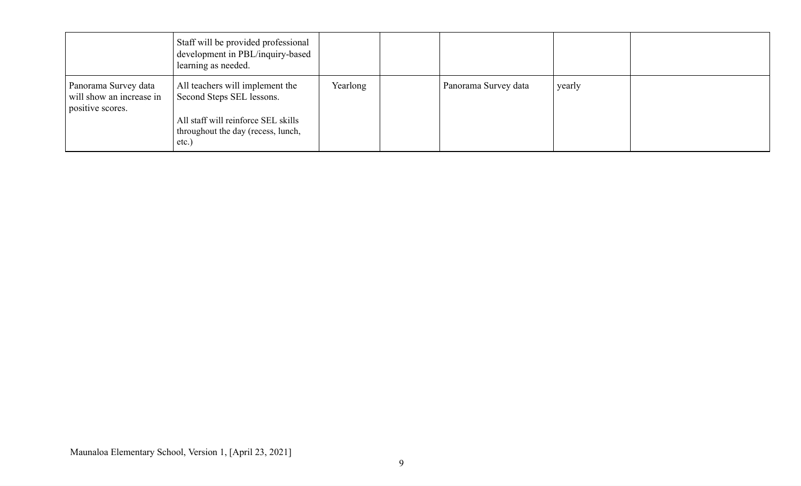|                                                                      | Staff will be provided professional<br>development in PBL/inquiry-based<br>learning as needed. |          |                      |        |  |
|----------------------------------------------------------------------|------------------------------------------------------------------------------------------------|----------|----------------------|--------|--|
| Panorama Survey data<br>will show an increase in<br>positive scores. | All teachers will implement the<br>Second Steps SEL lessons.                                   | Yearlong | Panorama Survey data | yearly |  |
|                                                                      | All staff will reinforce SEL skills<br>throughout the day (recess, lunch,<br>etc.)             |          |                      |        |  |